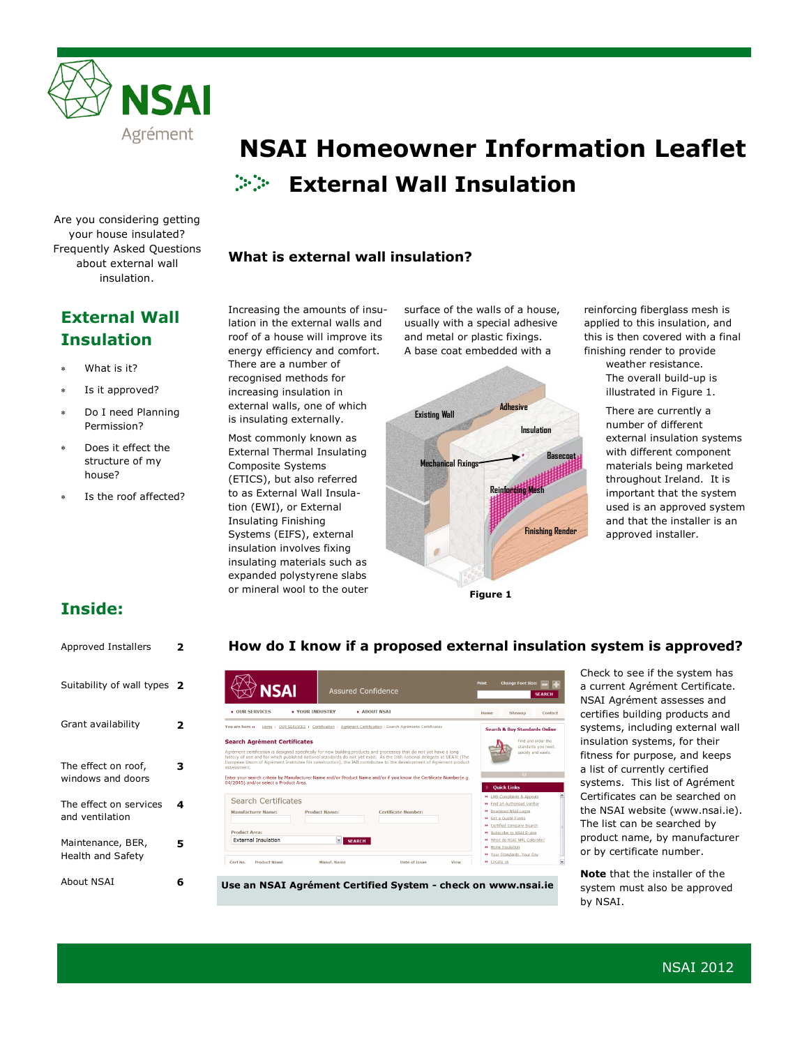

Are you considering getting your house insulated? Frequently Asked Questions about external wall insulation.

### **External Wall Insulation**

- What is it?
- Is it approved?
- Do I need Planning Permission?
- Does it effect the structure of my house?
- Is the roof affected?

# **External Wall Insulation NSAI Homeowner Information Leaflet**

### **What is external wall insulation?**

Increasing the amounts of insulation in the external walls and roof of a house will improve its energy efficiency and comfort. There are a number of recognised methods for increasing insulation in external walls, one of which is insulating externally.

Most commonly known as External Thermal Insulating Composite Systems (ETICS), but also referred to as External Wall Insulation (EWI), or External Insulating Finishing Systems (EIFS), external insulation involves fixing insulating materials such as expanded polystyrene slabs or mineral wool to the outer surface of the walls of a house, usually with a special adhesive and metal or plastic fixings. A base coat embedded with a



reinforcing fiberglass mesh is applied to this insulation, and this is then covered with a final finishing render to provide

weather resistance. The overall build-up is illustrated in Figure 1.

There are currently a number of different external insulation systems with different component materials being marketed throughout Ireland. It is important that the system used is an approved system and that the installer is an approved installer.

### **Inside:**

#### **How do I know if a proposed external insulation system is approved?** Approved Installers **2** Check to see if the system has Suitability of wall types **2** a current Agrément Certificate. **NSAI** NSAI Agrément assesses and  $\bullet$  OUR SERVICES . YOUR INDUSTRY A ABOUT NSAT Contact certifies building products and Grant availability **2** You are here » Home : QUR SERVICES : Certification : Agrément Certification : Search Agréments Ce systems, including external wall **Search & Buy Standards Online** insulation systems, for their **Search Agrément Certificates** Find and order the fitness for purpose, and keeps The effect on roof, **3** a list of currently certified windows and doors Enter your search criteria by Manufacturer Name and/or Pro<br>04/2045) and/or select a Product Area. systems. This list of Agrément Certificates can be searched on plaints & Appe **Search Certificates** The effect on services **4 D** Find an Authorised Verifier the NSAI website (www.nsai.ie). **Manufacturer Name:** ad NSAI Logos and ventilation Get a Quote Forms The list can be searched by Sciences Company Search<br>Subscribe to NSAI AML Calibr<br>What do NSAI AML Calibr<br>Home Insulation **Product Area:** product name, by manufacturer **External Insulation SEARCH** Maintenance, BER, **5** or by certificate number. Health and Safety Your Standards, Your Say Cert No. Product Name  $\theta$  Locate us Date of Issue **Note** that the installer of the About NSAI **6 Use an NSAI Agrément Certified System - check on www.nsai.ie** system must also be approved

by NSAI.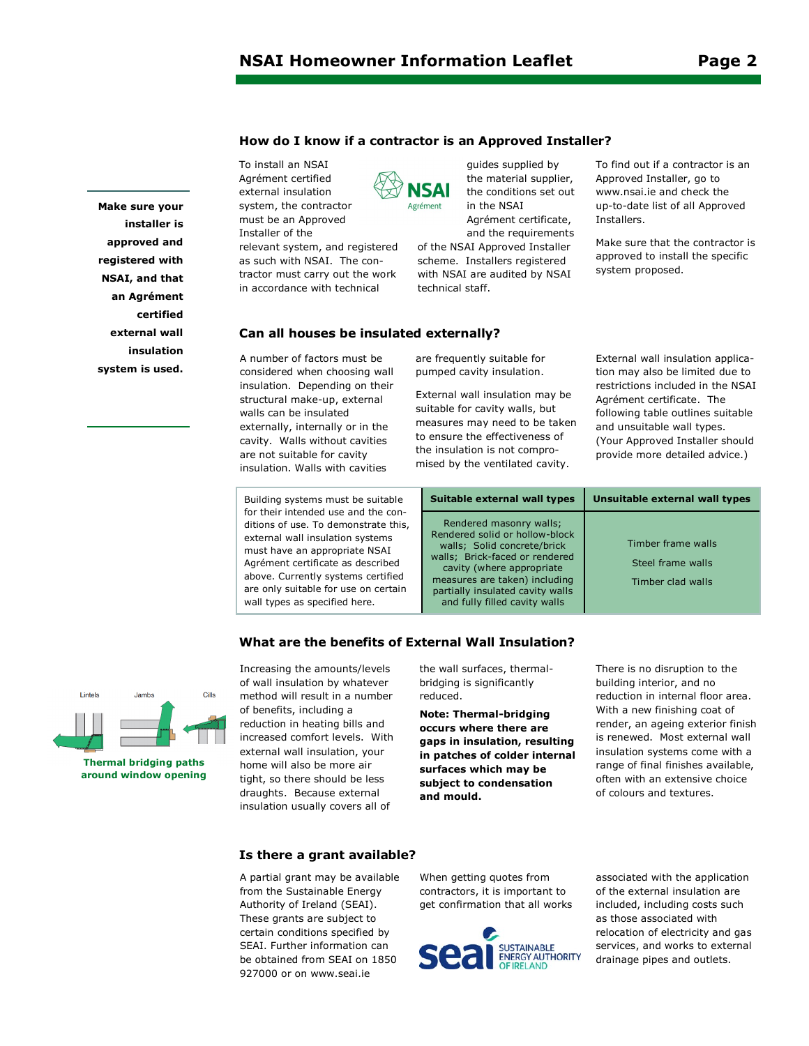**Make sure your installer is approved and registered with NSAI, and that an Agrément certified external wall insulation system is used.** 

#### **How do I know if a contractor is an Approved Installer?**

To install an NSAI Agrément certified external insulation system, the contractor must be an Approved Installer of the relevant system, and registered as such with NSAI. The contractor must carry out the work in accordance with technical



the material supplier, the conditions set out in the NSAI Agrément certificate, and the requirements of the NSAI Approved Installer

guides supplied by

scheme. Installers registered with NSAI are audited by NSAI technical staff.

To find out if a contractor is an Approved Installer, go to www.nsai.ie and check the up-to-date list of all Approved Installers.

Make sure that the contractor is approved to install the specific system proposed.

#### **Can all houses be insulated externally?**

A number of factors must be considered when choosing wall insulation. Depending on their structural make-up, external walls can be insulated externally, internally or in the cavity. Walls without cavities are not suitable for cavity insulation. Walls with cavities

are frequently suitable for pumped cavity insulation.

External wall insulation may be suitable for cavity walls, but measures may need to be taken to ensure the effectiveness of the insulation is not compromised by the ventilated cavity.

External wall insulation application may also be limited due to restrictions included in the NSAI Agrément certificate. The following table outlines suitable and unsuitable wall types. (Your Approved Installer should provide more detailed advice.)

| Building systems must be suitable    |
|--------------------------------------|
| for their intended use and the con-  |
| ditions of use. To demonstrate this, |
| external wall insulation systems     |
| must have an appropriate NSAI        |
| Agrément certificate as described    |
| above. Currently systems certified   |
| are only suitable for use on certain |
| wall types as specified here.        |

**Suitable external wall types Unsuitable external wall types** Rendered masonry walls; Rendered solid or hollow-block walls; Solid concrete/brick walls; Brick-faced or rendered cavity (where appropriate measures are taken) including partially insulated cavity walls and fully filled cavity walls Timber frame walls Steel frame walls Timber clad walls

### Lintels Jambs Cills

**Thermal bridging paths around window opening**

Increasing the amounts/levels of wall insulation by whatever method will result in a number of benefits, including a reduction in heating bills and increased comfort levels. With external wall insulation, your home will also be more air tight, so there should be less draughts. Because external insulation usually covers all of

the wall surfaces, thermalbridging is significantly reduced.

**What are the benefits of External Wall Insulation?**

**Note: Thermal-bridging occurs where there are gaps in insulation, resulting in patches of colder internal surfaces which may be subject to condensation and mould.** 

There is no disruption to the building interior, and no reduction in internal floor area. With a new finishing coat of render, an ageing exterior finish is renewed. Most external wall insulation systems come with a range of final finishes available, often with an extensive choice of colours and textures.

#### **Is there a grant available?**

A partial grant may be available from the Sustainable Energy Authority of Ireland (SEAI). These grants are subject to certain conditions specified by SEAI. Further information can be obtained from SEAI on 1850 927000 or on www.seai.ie

When getting quotes from contractors, it is important to get confirmation that all works



associated with the application of the external insulation are included, including costs such as those associated with relocation of electricity and gas services, and works to external drainage pipes and outlets.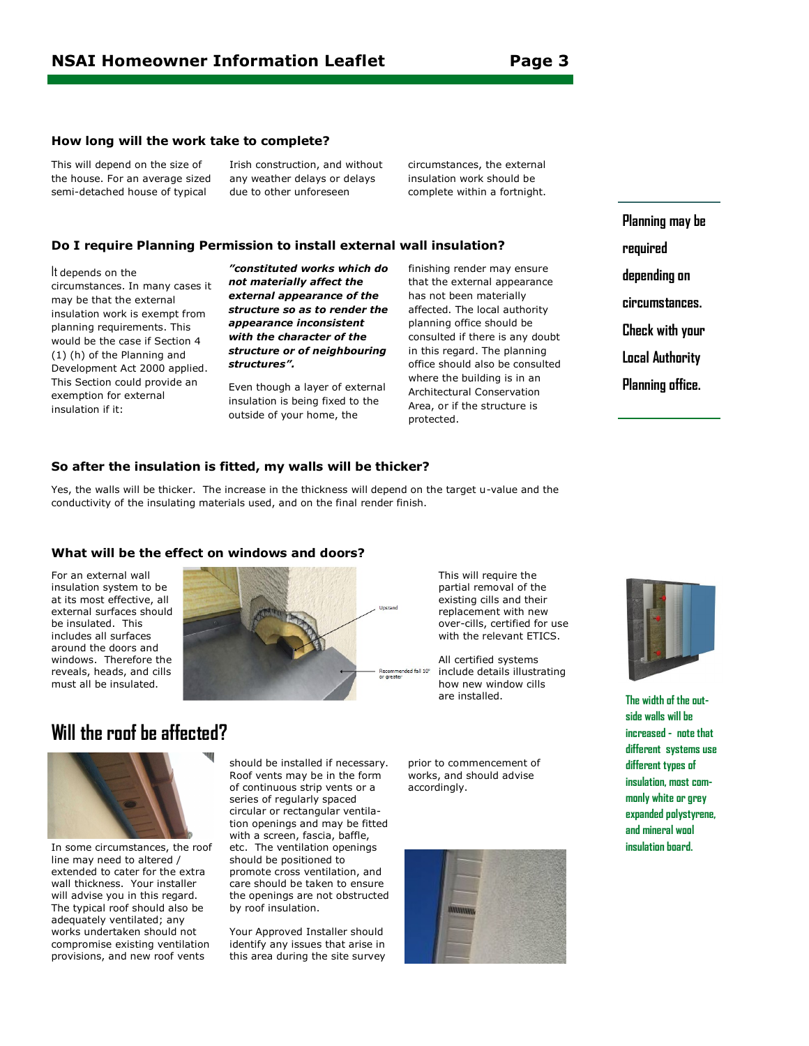#### **How long will the work take to complete?**

This will depend on the size of the house. For an average sized semi-detached house of typical

Irish construction, and without any weather delays or delays due to other unforeseen

circumstances, the external insulation work should be complete within a fortnight.

#### **Do I require Planning Permission to install external wall insulation?**

#### It depends on the

circumstances. In many cases it may be that the external insulation work is exempt from planning requirements. This would be the case if Section 4 (1) (h) of the Planning and Development Act 2000 applied. This Section could provide an exemption for external insulation if it:

*"constituted works which do not materially affect the external appearance of the structure so as to render the appearance inconsistent with the character of the structure or of neighbouring structures".* 

Even though a layer of external insulation is being fixed to the outside of your home, the

finishing render may ensure that the external appearance has not been materially affected. The local authority planning office should be consulted if there is any doubt in this regard. The planning office should also be consulted where the building is in an Architectural Conservation Area, or if the structure is protected.

**Planning may be required depending on circumstances. Check with your Local Authority Planning office.**

#### **So after the insulation is fitted, my walls will be thicker?**

Yes, the walls will be thicker. The increase in the thickness will depend on the target u-value and the conductivity of the insulating materials used, and on the final render finish.

#### **What will be the effect on windows and doors?**

For an external wall insulation system to be at its most effective, all external surfaces should be insulated. This includes all surfaces around the doors and windows. Therefore the reveals, heads, and cills must all be insulated.



partial removal of the existing cills and their replacement with new over-cills, certified for use with the relevant ETICS.

This will require the

All certified systems include details illustrating how new window cills are installed.



In some circumstances, the roof line may need to altered / extended to cater for the extra wall thickness. Your installer will advise you in this regard. The typical roof should also be adequately ventilated; any works undertaken should not compromise existing ventilation provisions, and new roof vents

should be installed if necessary. Roof vents may be in the form of continuous strip vents or a series of regularly spaced circular or rectangular ventilation openings and may be fitted with a screen, fascia, baffle, etc. The ventilation openings should be positioned to promote cross ventilation, and care should be taken to ensure the openings are not obstructed by roof insulation.

Your Approved Installer should identify any issues that arise in this area during the site survey prior to commencement of works, and should advise accordingly.





**The width of the outside walls will be increased - note that different systems use different types of insulation, most commonly white or grey expanded polystyrene, and mineral wool insulation board.**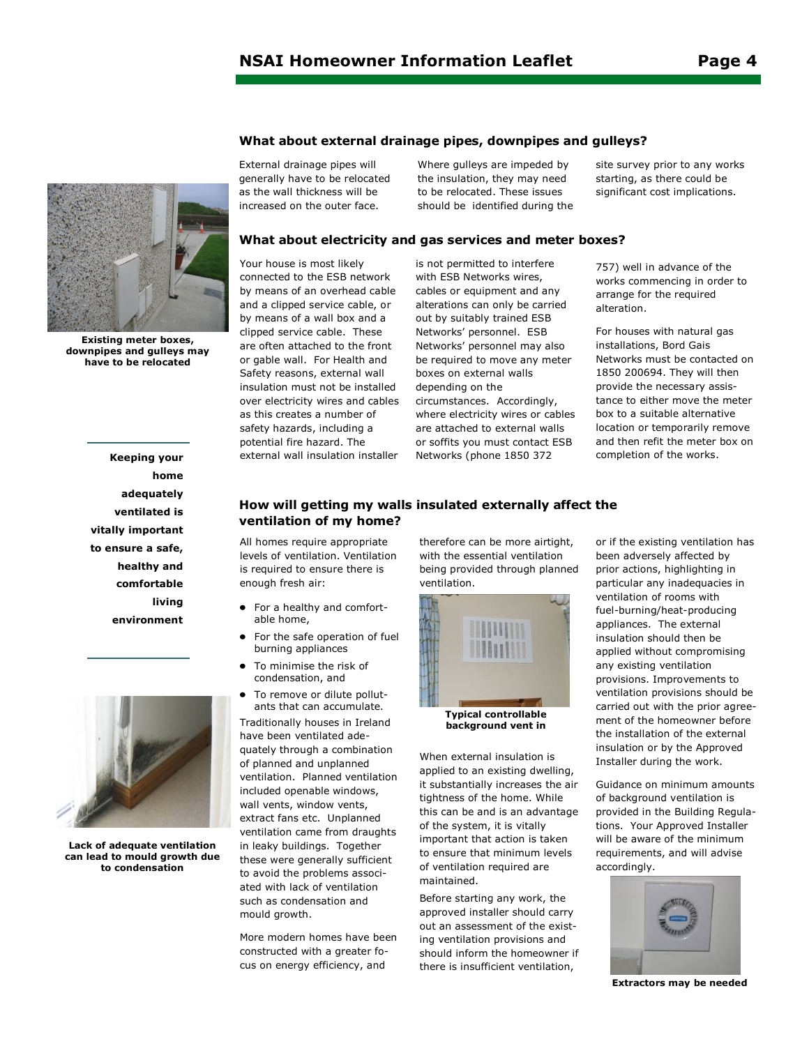## **What about external drainage pipes, downpipes and gulleys?**



**Existing meter boxes, downpipes and gulleys may have to be relocated**

**Keeping your home adequately ventilated is vitally important to ensure a safe, healthy and comfortable living environment**



**Lack of adequate ventilation can lead to mould growth due to condensation**

External drainage pipes will generally have to be relocated as the wall thickness will be increased on the outer face.

Where gulleys are impeded by the insulation, they may need to be relocated. These issues should be identified during the

#### **What about electricity and gas services and meter boxes?**

Your house is most likely connected to the ESB network by means of an overhead cable and a clipped service cable, or by means of a wall box and a clipped service cable. These are often attached to the front or gable wall. For Health and Safety reasons, external wall insulation must not be installed over electricity wires and cables as this creates a number of safety hazards, including a potential fire hazard. The external wall insulation installer

is not permitted to interfere with ESB Networks wires, cables or equipment and any alterations can only be carried out by suitably trained ESB Networks' personnel. ESB Networks' personnel may also be required to move any meter boxes on external walls depending on the circumstances. Accordingly, where electricity wires or cables are attached to external walls or soffits you must contact ESB Networks (phone 1850 372

site survey prior to any works starting, as there could be significant cost implications.

757) well in advance of the works commencing in order to arrange for the required alteration.

For houses with natural gas installations, Bord Gais Networks must be contacted on 1850 200694. They will then provide the necessary assistance to either move the meter box to a suitable alternative location or temporarily remove and then refit the meter box on completion of the works.

#### **How will getting my walls insulated externally affect the ventilation of my home?**

All homes require appropriate levels of ventilation. Ventilation is required to ensure there is enough fresh air:

- For a healthy and comfortable home,
- For the safe operation of fuel  $\bullet$ burning appliances
- To minimise the risk of condensation, and
- To remove or dilute pollutants that can accumulate.

Traditionally houses in Ireland have been ventilated adequately through a combination of planned and unplanned ventilation. Planned ventilation included openable windows, wall vents, window vents, extract fans etc. Unplanned ventilation came from draughts in leaky buildings. Together these were generally sufficient to avoid the problems associated with lack of ventilation such as condensation and mould growth.

More modern homes have been constructed with a greater focus on energy efficiency, and

therefore can be more airtight, with the essential ventilation being provided through planned ventilation.



**Typical controllable background vent in** 

When external insulation is applied to an existing dwelling, it substantially increases the air tightness of the home. While this can be and is an advantage of the system, it is vitally important that action is taken to ensure that minimum levels of ventilation required are maintained.

Before starting any work, the approved installer should carry out an assessment of the existing ventilation provisions and should inform the homeowner if there is insufficient ventilation,

or if the existing ventilation has been adversely affected by prior actions, highlighting in particular any inadequacies in ventilation of rooms with fuel-burning/heat-producing appliances. The external insulation should then be applied without compromising any existing ventilation provisions. Improvements to ventilation provisions should be carried out with the prior agreement of the homeowner before the installation of the external insulation or by the Approved Installer during the work.

Guidance on minimum amounts of background ventilation is provided in the Building Regulations. Your Approved Installer will be aware of the minimum requirements, and will advise accordingly.



**Extractors may be needed**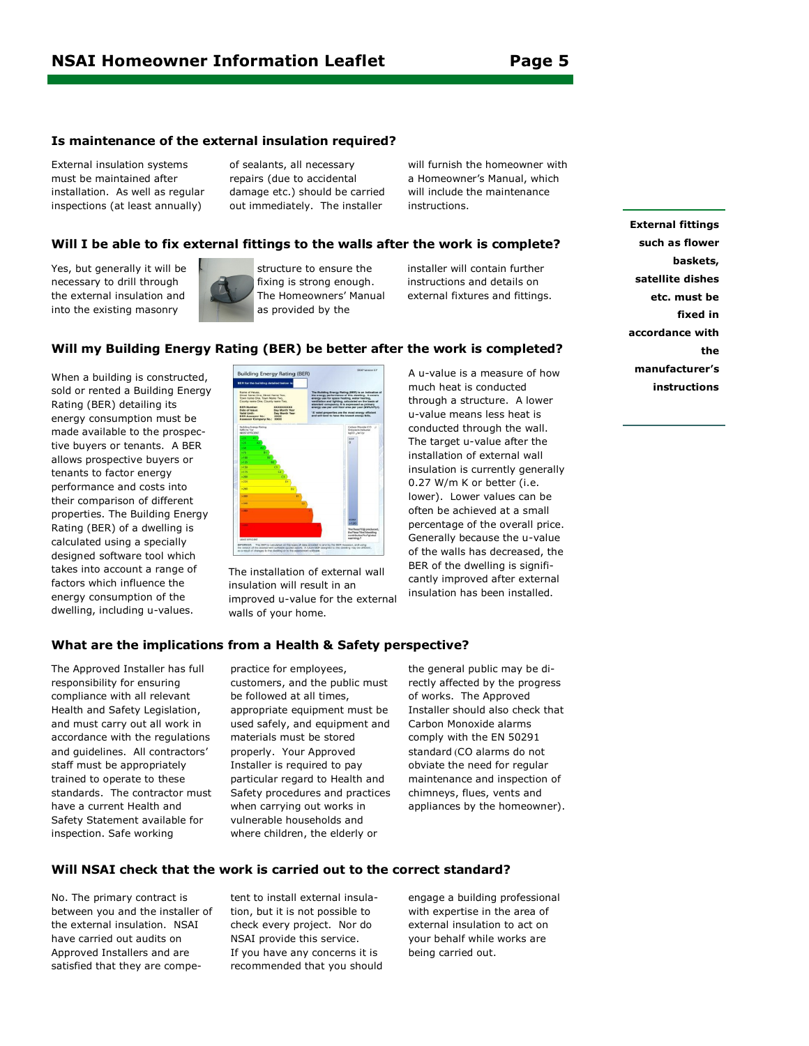#### **Is maintenance of the external insulation required?**

External insulation systems must be maintained after installation. As well as regular inspections (at least annually)

of sealants, all necessary repairs (due to accidental damage etc.) should be carried out immediately. The installer

will furnish the homeowner with a Homeowner's Manual, which will include the maintenance instructions.

#### **Will I be able to fix external fittings to the walls after the work is complete?**

Yes, but generally it will be necessary to drill through the external insulation and into the existing masonry



structure to ensure the fixing is strong enough. The Homeowners' Manual as provided by the

installer will contain further instructions and details on external fixtures and fittings.

#### **Will my Building Energy Rating (BER) be better after the work is completed?**

When a building is constructed, sold or rented a Building Energy Rating (BER) detailing its energy consumption must be made available to the prospective buyers or tenants. A BER allows prospective buyers or tenants to factor energy performance and costs into their comparison of different properties. The Building Energy Rating (BER) of a dwelling is calculated using a specially designed software tool which takes into account a range of factors which influence the energy consumption of the dwelling, including u-values.



The installation of external wall insulation will result in an improved u-value for the external walls of your home.

A u-value is a measure of how much heat is conducted through a structure. A lower u-value means less heat is conducted through the wall. The target u-value after the installation of external wall insulation is currently generally 0.27 W/m K or better (i.e. lower). Lower values can be often be achieved at a small percentage of the overall price. Generally because the u-value of the walls has decreased, the BER of the dwelling is significantly improved after external insulation has been installed.

**External fittings such as flower baskets, satellite dishes etc. must be fixed in accordance with the manufacturer's instructions**

#### **What are the implications from a Health & Safety perspective?**

The Approved Installer has full responsibility for ensuring compliance with all relevant Health and Safety Legislation, and must carry out all work in accordance with the regulations and guidelines. All contractors' staff must be appropriately trained to operate to these standards. The contractor must have a current Health and Safety Statement available for inspection. Safe working

practice for employees, customers, and the public must be followed at all times, appropriate equipment must be used safely, and equipment and materials must be stored properly. Your Approved Installer is required to pay particular regard to Health and Safety procedures and practices when carrying out works in vulnerable households and where children, the elderly or

the general public may be directly affected by the progress of works. The Approved Installer should also check that Carbon Monoxide alarms comply with the EN 50291 standard (CO alarms do not obviate the need for regular maintenance and inspection of chimneys, flues, vents and appliances by the homeowner).

#### **Will NSAI check that the work is carried out to the correct standard?**

No. The primary contract is between you and the installer of the external insulation. NSAI have carried out audits on Approved Installers and are satisfied that they are compe-

tent to install external insulation, but it is not possible to check every project. Nor do NSAI provide this service. If you have any concerns it is recommended that you should engage a building professional with expertise in the area of external insulation to act on your behalf while works are being carried out.